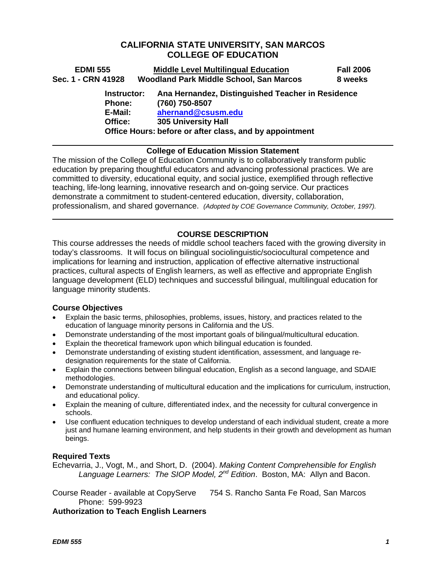# **CALIFORNIA STATE UNIVERSITY, SAN MARCOS COLLEGE OF EDUCATION**

| <b>EDMI 555</b>                                    | <b>Middle Level Multilingual Education</b>                                                                                                                                         | <b>Fall 2006</b> |
|----------------------------------------------------|------------------------------------------------------------------------------------------------------------------------------------------------------------------------------------|------------------|
| Sec. 1 - CRN 41928                                 | Woodland Park Middle School, San Marcos                                                                                                                                            | 8 weeks          |
| Instructor:<br><b>Phone:</b><br>E-Mail:<br>Office: | Ana Hernandez, Distinguished Teacher in Residence<br>(760) 750-8507<br>ahernand@csusm.edu<br><b>305 University Hall</b><br>Office Hours: before or after class, and by appointment |                  |
|                                                    |                                                                                                                                                                                    |                  |

### **College of Education Mission Statement**

The mission of the College of Education Community is to collaboratively transform public education by preparing thoughtful educators and advancing professional practices. We are committed to diversity, educational equity, and social justice, exemplified through reflective teaching, life-long learning, innovative research and on-going service. Our practices demonstrate a commitment to student-centered education, diversity, collaboration, professionalism, and shared governance. *(Adopted by COE Governance Community, October, 1997).* 

### **COURSE DESCRIPTION**

This course addresses the needs of middle school teachers faced with the growing diversity in today's classrooms. It will focus on bilingual sociolinguistic/sociocultural competence and implications for learning and instruction, application of effective alternative instructional practices, cultural aspects of English learners, as well as effective and appropriate English language development (ELD) techniques and successful bilingual, multilingual education for language minority students.

#### **Course Objectives**

- Explain the basic terms, philosophies, problems, issues, history, and practices related to the education of language minority persons in California and the US.
- Demonstrate understanding of the most important goals of bilingual/multicultural education.
- Explain the theoretical framework upon which bilingual education is founded.
- Demonstrate understanding of existing student identification, assessment, and language redesignation requirements for the state of California.
- Explain the connections between bilingual education, English as a second language, and SDAIE methodologies.
- Demonstrate understanding of multicultural education and the implications for curriculum, instruction, and educational policy.
- Explain the meaning of culture, differentiated index, and the necessity for cultural convergence in schools.
- Use confluent education techniques to develop understand of each individual student, create a more just and humane learning environment, and help students in their growth and development as human beings.

#### **Required Texts**

Echevarria, J., Vogt, M., and Short, D. (2004). *Making Content Comprehensible for English Language Learners: The SIOP Model, 2nd Edition*. Boston, MA: Allyn and Bacon.

Course Reader - available at CopyServe 754 S. Rancho Santa Fe Road, San Marcos Phone: 599-9923

**Authorization to Teach English Learners**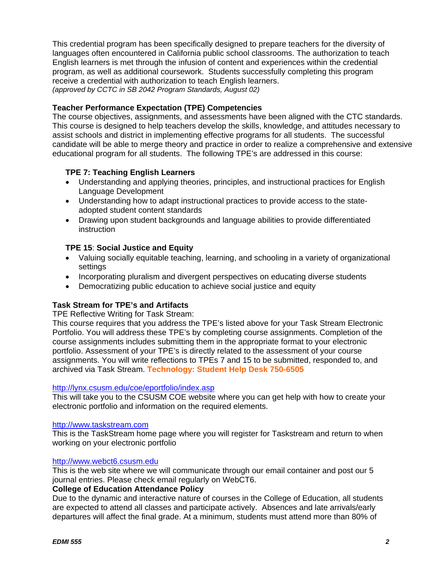This credential program has been specifically designed to prepare teachers for the diversity of languages often encountered in California public school classrooms. The authorization to teach English learners is met through the infusion of content and experiences within the credential program, as well as additional coursework. Students successfully completing this program receive a credential with authorization to teach English learners. *(approved by CCTC in SB 2042 Program Standards, August 02)*

# **Teacher Performance Expectation (TPE) Competencies**

The course objectives, assignments, and assessments have been aligned with the CTC standards. This course is designed to help teachers develop the skills, knowledge, and attitudes necessary to assist schools and district in implementing effective programs for all students. The successful candidate will be able to merge theory and practice in order to realize a comprehensive and extensive educational program for all students. The following TPE's are addressed in this course:

# **TPE 7: Teaching English Learners**

- Understanding and applying theories, principles, and instructional practices for English Language Development
- Understanding how to adapt instructional practices to provide access to the stateadopted student content standards
- Drawing upon student backgrounds and language abilities to provide differentiated instruction

### **TPE 15**: **Social Justice and Equity**

- Valuing socially equitable teaching, learning, and schooling in a variety of organizational settings
- Incorporating pluralism and divergent perspectives on educating diverse students
- Democratizing public education to achieve social justice and equity

# **Task Stream for TPE's and Artifacts**

TPE Reflective Writing for Task Stream:

This course requires that you address the TPE's listed above for your Task Stream Electronic Portfolio. You will address these TPE's by completing course assignments. Completion of the course assignments includes submitting them in the appropriate format to your electronic portfolio. Assessment of your TPE's is directly related to the assessment of your course assignments. You will write reflections to TPEs 7 and 15 to be submitted, responded to, and archived via Task Stream. **Technology: Student Help Desk 750-6505** 

#### http://lynx.csusm.edu/coe/eportfolio/index.asp

This will take you to the CSUSM COE website where you can get help with how to create your electronic portfolio and information on the required elements.

#### http://www.taskstream.com

This is the TaskStream home page where you will register for Taskstream and return to when working on your electronic portfolio

#### http://www.webct6.csusm.edu

This is the web site where we will communicate through our email container and post our 5 journal entries. Please check email regularly on WebCT6.

#### **College of Education Attendance Policy**

Due to the dynamic and interactive nature of courses in the College of Education, all students are expected to attend all classes and participate actively. Absences and late arrivals/early departures will affect the final grade. At a minimum, students must attend more than 80% of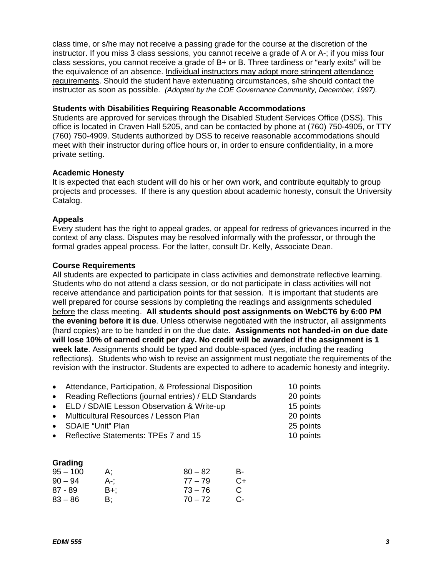class time, or s/he may not receive a passing grade for the course at the discretion of the instructor. If you miss 3 class sessions, you cannot receive a grade of A or A-; if you miss four class sessions, you cannot receive a grade of B+ or B. Three tardiness or "early exits" will be the equivalence of an absence. Individual instructors may adopt more stringent attendance requirements. Should the student have extenuating circumstances, s/he should contact the instructor as soon as possible. *(Adopted by the COE Governance Community, December, 1997).*

#### **Students with Disabilities Requiring Reasonable Accommodations**

Students are approved for services through the Disabled Student Services Office (DSS). This office is located in Craven Hall 5205, and can be contacted by phone at (760) 750-4905, or TTY (760) 750-4909. Students authorized by DSS to receive reasonable accommodations should meet with their instructor during office hours or, in order to ensure confidentiality, in a more private setting.

#### **Academic Honesty**

It is expected that each student will do his or her own work, and contribute equitably to group projects and processes. If there is any question about academic honesty, consult the University Catalog.

#### **Appeals**

Every student has the right to appeal grades, or appeal for redress of grievances incurred in the context of any class. Disputes may be resolved informally with the professor, or through the formal grades appeal process. For the latter, consult Dr. Kelly, Associate Dean.

#### **Course Requirements**

All students are expected to participate in class activities and demonstrate reflective learning. Students who do not attend a class session, or do not participate in class activities will not receive attendance and participation points for that session. It is important that students are well prepared for course sessions by completing the readings and assignments scheduled before the class meeting. **All students should post assignments on WebCT6 by 6:00 PM the evening before it is due**. Unless otherwise negotiated with the instructor, all assignments (hard copies) are to be handed in on the due date. **Assignments not handed-in on due date will lose 10% of earned credit per day. No credit will be awarded if the assignment is 1 week late**. Assignments should be typed and double-spaced (yes, including the reading reflections). Students who wish to revise an assignment must negotiate the requirements of the revision with the instructor. Students are expected to adhere to academic honesty and integrity.

| • Attendance, Participation, & Professional Disposition | 10 points |
|---------------------------------------------------------|-----------|
| • Reading Reflections (journal entries) / ELD Standards | 20 points |
| • ELD / SDAIE Lesson Observation & Write-up             | 15 points |
| • Multicultural Resources / Lesson Plan                 | 20 points |
| • SDAIE "Unit" Plan                                     | 25 points |
| • Reflective Statements: TPEs 7 and 15                  | 10 points |

| Grading    |     |           |    |
|------------|-----|-----------|----|
| $95 - 100$ | А:  | $80 - 82$ | в- |
| $90 - 94$  | A-: | $77 - 79$ | C+ |
| $87 - 89$  | B+; | $73 - 76$ | C  |
| $83 - 86$  | B:  | $70 - 72$ | C- |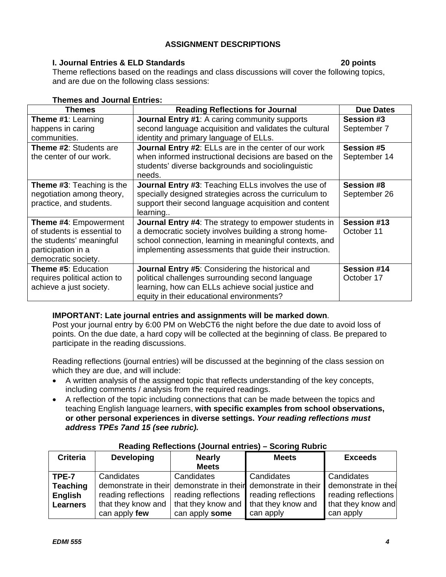# **ASSIGNMENT DESCRIPTIONS**

# **I. Journal Entries & ELD Standards 20 points**

Theme reflections based on the readings and class discussions will cover the following topics, and are due on the following class sessions:

| Themes and Journal Entries:                                                                                                          |                                                                                                                                                                                                                                            |                                   |  |
|--------------------------------------------------------------------------------------------------------------------------------------|--------------------------------------------------------------------------------------------------------------------------------------------------------------------------------------------------------------------------------------------|-----------------------------------|--|
| <b>Themes</b>                                                                                                                        | <b>Reading Reflections for Journal</b>                                                                                                                                                                                                     | <b>Due Dates</b>                  |  |
| Theme #1: Learning<br>happens in caring<br>communities.                                                                              | <b>Journal Entry #1:</b> A caring community supports<br>second language acquisition and validates the cultural<br>identity and primary language of ELLs.                                                                                   | <b>Session #3</b><br>September 7  |  |
| Theme #2: Students are<br>the center of our work.                                                                                    | Journal Entry #2: ELLs are in the center of our work<br>when informed instructional decisions are based on the<br>students' diverse backgrounds and sociolinguistic<br>needs.                                                              | <b>Session #5</b><br>September 14 |  |
| <b>Theme #3: Teaching is the</b><br>negotiation among theory,<br>practice, and students.                                             | <b>Journal Entry #3: Teaching ELLs involves the use of</b><br>specially designed strategies across the curriculum to<br>support their second language acquisition and content<br>learning                                                  | <b>Session #8</b><br>September 26 |  |
| <b>Theme #4: Empowerment</b><br>of students is essential to<br>the students' meaningful<br>participation in a<br>democratic society. | <b>Journal Entry #4:</b> The strategy to empower students in<br>a democratic society involves building a strong home-<br>school connection, learning in meaningful contexts, and<br>implementing assessments that guide their instruction. | Session #13<br>October 11         |  |
| Theme #5: Education<br>requires political action to<br>achieve a just society.                                                       | Journal Entry #5: Considering the historical and<br>political challenges surrounding second language<br>learning, how can ELLs achieve social justice and<br>equity in their educational environments?                                     | Session #14<br>October 17         |  |

#### **Themes and Journal Entries:**

# **IMPORTANT: Late journal entries and assignments will be marked down**.

Post your journal entry by 6:00 PM on WebCT6 the night before the due date to avoid loss of points. On the due date, a hard copy will be collected at the beginning of class. Be prepared to participate in the reading discussions.

Reading reflections (journal entries) will be discussed at the beginning of the class session on which they are due, and will include:

- A written analysis of the assigned topic that reflects understanding of the key concepts, including comments / analysis from the required readings.
- A reflection of the topic including connections that can be made between the topics and teaching English language learners, **with specific examples from school observations, or other personal experiences in diverse settings.** *Your reading reflections must address TPEs 7and 15 (see rubric).*

| <b>Criteria</b> | <b>Developing</b>          | <b>Nearly</b>                         | <b>Meets</b>                                                                        | <b>Exceeds</b>      |
|-----------------|----------------------------|---------------------------------------|-------------------------------------------------------------------------------------|---------------------|
|                 |                            | <b>Meets</b>                          |                                                                                     |                     |
| TPE-7           | Candidates                 | Candidates                            | Candidates                                                                          | Candidates          |
| <b>Teaching</b> |                            |                                       | demonstrate in their demonstrate in their demonstrate in their demonstrate in their |                     |
| <b>English</b>  | reading reflections        | reading reflections                   | reading reflections                                                                 | reading reflections |
| <b>Learners</b> | that they know and $\vert$ | that they know and that they know and |                                                                                     | that they know and  |
|                 | can apply few              | can apply some                        | can apply                                                                           | can apply           |

# **Reading Reflections (Journal entries) – Scoring Rubric**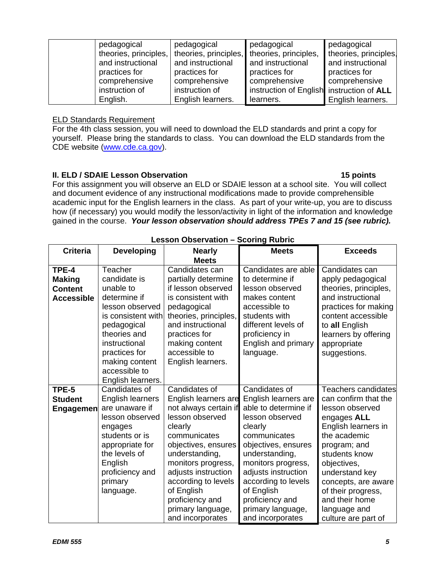| pedagogical           | pedagogical           | pedagogical                               | pedagogical           |
|-----------------------|-----------------------|-------------------------------------------|-----------------------|
| theories, principles, | theories, principles, | theories, principles,                     | theories, principles. |
| and instructional     | and instructional     | and instructional                         | and instructional     |
| practices for         | practices for         | practices for                             | practices for         |
| comprehensive         | comprehensive         | comprehensive                             | comprehensive         |
| instruction of        | instruction of        | instruction of English instruction of ALL |                       |
| English.              | English learners.     | learners.                                 | English learners.     |

#### ELD Standards Requirement

For the 4th class session, you will need to download the ELD standards and print a copy for yourself. Please bring the standards to class. You can download the ELD standards from the CDE website (www.cde.ca.gov).

# **II. ELD / SDAIE Lesson Observation 15 points** 15 points

For this assignment you will observe an ELD or SDAIE lesson at a school site. You will collect and document evidence of any instructional modifications made to provide comprehensible academic input for the English learners in the class. As part of your write-up, you are to discuss how (if necessary) you would modify the lesson/activity in light of the information and knowledge gained in the course. *Your lesson observation should address TPEs 7 and 15 (see rubric).*

| <b>Criteria</b>                                               | <b>Developing</b>                                                                                                                                                                                                      | <b>Nearly</b><br><b>Meets</b>                                                                                                                                                                                                                                                                       | <b>Meets</b>                                                                                                                                                                                                                                                                                       | <b>Exceeds</b>                                                                                                                                                                                                                                                                               |
|---------------------------------------------------------------|------------------------------------------------------------------------------------------------------------------------------------------------------------------------------------------------------------------------|-----------------------------------------------------------------------------------------------------------------------------------------------------------------------------------------------------------------------------------------------------------------------------------------------------|----------------------------------------------------------------------------------------------------------------------------------------------------------------------------------------------------------------------------------------------------------------------------------------------------|----------------------------------------------------------------------------------------------------------------------------------------------------------------------------------------------------------------------------------------------------------------------------------------------|
| TPE-4<br><b>Making</b><br><b>Content</b><br><b>Accessible</b> | Teacher<br>candidate is<br>unable to<br>determine if<br>lesson observed<br>is consistent with<br>pedagogical<br>theories and<br>instructional<br>practices for<br>making content<br>accessible to<br>English learners. | Candidates can<br>partially determine<br>if lesson observed<br>is consistent with<br>pedagogical<br>theories, principles,<br>and instructional<br>practices for<br>making content<br>accessible to<br>English learners.                                                                             | Candidates are able<br>to determine if<br>lesson observed<br>makes content<br>accessible to<br>students with<br>different levels of<br>proficiency in<br>English and primary<br>language.                                                                                                          | Candidates can<br>apply pedagogical<br>theories, principles,<br>and instructional<br>practices for making<br>content accessible<br>to all English<br>learners by offering<br>appropriate<br>suggestions.                                                                                     |
| TPE-5<br><b>Student</b><br>Engagemen                          | Candidates of<br><b>English learners</b><br>are unaware if<br>lesson observed<br>engages<br>students or is<br>appropriate for<br>the levels of<br>English<br>proficiency and<br>primary<br>language.                   | Candidates of<br>English learners are<br>not always certain if<br>lesson observed<br>clearly<br>communicates<br>objectives, ensures<br>understanding,<br>monitors progress,<br>adjusts instruction<br>according to levels<br>of English<br>proficiency and<br>primary language,<br>and incorporates | Candidates of<br>English learners are<br>able to determine if<br>lesson observed<br>clearly<br>communicates<br>objectives, ensures<br>understanding,<br>monitors progress,<br>adjusts instruction<br>according to levels<br>of English<br>proficiency and<br>primary language,<br>and incorporates | Teachers candidates<br>can confirm that the<br>lesson observed<br>engages ALL<br>English learners in<br>the academic<br>program; and<br>students know<br>objectives,<br>understand key<br>concepts, are aware<br>of their progress,<br>and their home<br>language and<br>culture are part of |

#### **Lesson Observation – Scoring Rubric**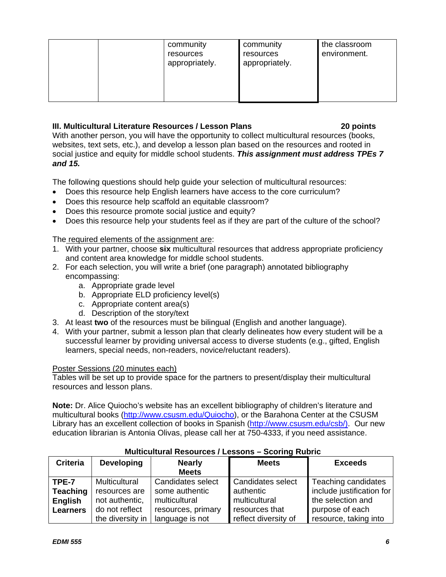|  | community<br>resources<br>appropriately. | community<br>resources<br>appropriately. | the classroom<br>environment. |
|--|------------------------------------------|------------------------------------------|-------------------------------|
|  |                                          |                                          |                               |

# **III. Multicultural Literature Resources / Lesson Plans 20 points**

With another person, you will have the opportunity to collect multicultural resources (books, websites, text sets, etc.), and develop a lesson plan based on the resources and rooted in social justice and equity for middle school students. *This assignment must address TPEs 7 and 15.* 

The following questions should help guide your selection of multicultural resources:

- Does this resource help English learners have access to the core curriculum?
- Does this resource help scaffold an equitable classroom?
- Does this resource promote social justice and equity?
- Does this resource help your students feel as if they are part of the culture of the school?

# The required elements of the assignment are:

- 1. With your partner, choose **six** multicultural resources that address appropriate proficiency and content area knowledge for middle school students.
- 2. For each selection, you will write a brief (one paragraph) annotated bibliography encompassing:
	- a. Appropriate grade level
	- b. Appropriate ELD proficiency level(s)
	- c. Appropriate content area(s)
	- d. Description of the story/text
- 3. At least **two** of the resources must be bilingual (English and another language).
- 4. With your partner, submit a lesson plan that clearly delineates how every student will be a successful learner by providing universal access to diverse students (e.g., gifted, English learners, special needs, non-readers, novice/reluctant readers).

# Poster Sessions (20 minutes each)

Tables will be set up to provide space for the partners to present/display their multicultural resources and lesson plans.

**Note:** Dr. Alice Quiocho's website has an excellent bibliography of children's literature and multicultural books (http://www.csusm.edu/Quiocho), or the Barahona Center at the CSUSM Library has an excellent collection of books in Spanish (http://www.csusm.edu/csb/). Our new education librarian is Antonia Olivas, please call her at 750-4333, if you need assistance.

|                                                               | Mundununun Negeareeg / Eeggeng<br><b>UUUIIIIY INUUIIV</b>                 |                                                                            |                                                                          |                                                                                          |  |  |
|---------------------------------------------------------------|---------------------------------------------------------------------------|----------------------------------------------------------------------------|--------------------------------------------------------------------------|------------------------------------------------------------------------------------------|--|--|
| <b>Criteria</b>                                               | <b>Developing</b>                                                         | <b>Nearly</b><br><b>Meets</b>                                              | <b>Meets</b>                                                             | <b>Exceeds</b>                                                                           |  |  |
| TPE-7<br><b>Teaching</b><br><b>English</b><br><b>Learners</b> | <b>Multicultural</b><br>resources are<br>not authentic,<br>do not reflect | Candidates select<br>some authentic<br>multicultural<br>resources, primary | <b>Candidates select</b><br>authentic<br>multicultural<br>resources that | Teaching candidates<br>include justification for<br>the selection and<br>purpose of each |  |  |
|                                                               | the diversity in                                                          | language is not                                                            | reflect diversity of                                                     | resource, taking into                                                                    |  |  |

# **Multicultural Resources / Lessons – Scoring Rubric**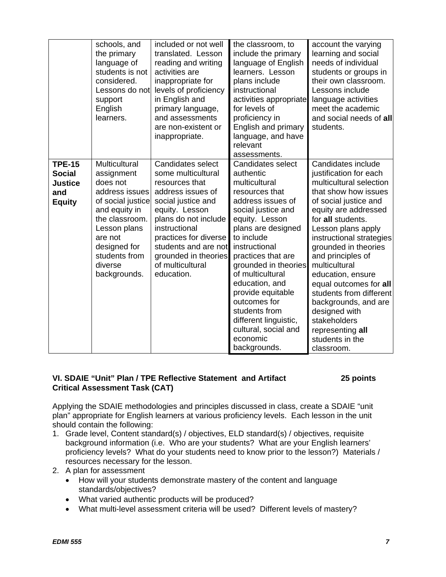|                                                                          | schools, and<br>the primary<br>language of<br>students is not<br>considered.<br>Lessons do not<br>support<br>English<br>learners.                                                                        | included or not well<br>translated. Lesson<br>reading and writing<br>activities are<br>inappropriate for<br>levels of proficiency<br>in English and<br>primary language,<br>and assessments<br>are non-existent or<br>inappropriate.                                       | the classroom, to<br>include the primary<br>language of English<br>learners. Lesson<br>plans include<br>instructional<br>activities appropriate<br>for levels of<br>proficiency in<br>English and primary<br>language, and have<br>relevant<br>assessments.                                                                                                                                                | account the varying<br>learning and social<br>needs of individual<br>students or groups in<br>their own classroom.<br>Lessons include<br>language activities<br>meet the academic<br>and social needs of all<br>students.                                                                                                                                                                                                                                                     |
|--------------------------------------------------------------------------|----------------------------------------------------------------------------------------------------------------------------------------------------------------------------------------------------------|----------------------------------------------------------------------------------------------------------------------------------------------------------------------------------------------------------------------------------------------------------------------------|------------------------------------------------------------------------------------------------------------------------------------------------------------------------------------------------------------------------------------------------------------------------------------------------------------------------------------------------------------------------------------------------------------|-------------------------------------------------------------------------------------------------------------------------------------------------------------------------------------------------------------------------------------------------------------------------------------------------------------------------------------------------------------------------------------------------------------------------------------------------------------------------------|
| <b>TPE-15</b><br><b>Social</b><br><b>Justice</b><br>and<br><b>Equity</b> | Multicultural<br>assignment<br>does not<br>address issues<br>of social justice<br>and equity in<br>the classroom.<br>Lesson plans<br>are not<br>designed for<br>students from<br>diverse<br>backgrounds. | Candidates select<br>some multicultural<br>resources that<br>address issues of<br>social justice and<br>equity. Lesson<br>plans do not include<br>instructional<br>practices for diverse<br>students and are not<br>grounded in theories<br>of multicultural<br>education. | Candidates select<br>authentic<br>multicultural<br>resources that<br>address issues of<br>social justice and<br>equity. Lesson<br>plans are designed<br>to include<br>instructional<br>practices that are<br>grounded in theories<br>of multicultural<br>education, and<br>provide equitable<br>outcomes for<br>students from<br>different linguistic,<br>cultural, social and<br>economic<br>backgrounds. | Candidates include<br>justification for each<br>multicultural selection<br>that show how issues<br>of social justice and<br>equity are addressed<br>for all students.<br>Lesson plans apply<br>instructional strategies<br>grounded in theories<br>and principles of<br>multicultural<br>education, ensure<br>equal outcomes for all<br>students from different<br>backgrounds, and are<br>designed with<br>stakeholders<br>representing all<br>students in the<br>classroom. |

# **VI. SDAIE "Unit" Plan / TPE Reflective Statement and Artifact 25 points Critical Assessment Task (CAT)**

Applying the SDAIE methodologies and principles discussed in class, create a SDAIE "unit plan" appropriate for English learners at various proficiency levels. Each lesson in the unit should contain the following:

- 1. Grade level, Content standard(s) / objectives, ELD standard(s) / objectives, requisite background information (i.e. Who are your students? What are your English learners' proficiency levels? What do your students need to know prior to the lesson?) Materials / resources necessary for the lesson.
- 2. A plan for assessment
	- How will your students demonstrate mastery of the content and language standards/objectives?
	- What varied authentic products will be produced?
	- What multi-level assessment criteria will be used? Different levels of mastery?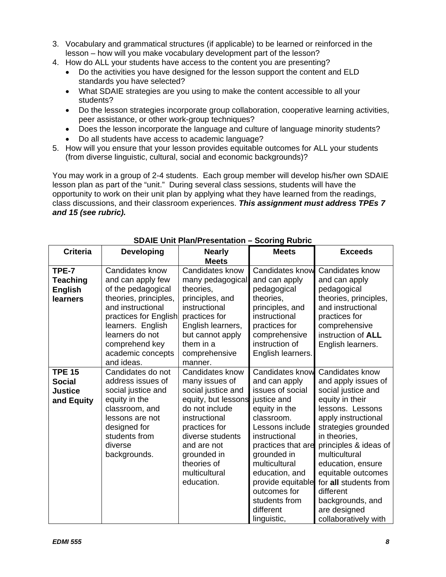- 3. Vocabulary and grammatical structures (if applicable) to be learned or reinforced in the lesson – how will you make vocabulary development part of the lesson?
- 4. How do ALL your students have access to the content you are presenting?
	- Do the activities you have designed for the lesson support the content and ELD standards you have selected?
	- What SDAIE strategies are you using to make the content accessible to all your students?
	- Do the lesson strategies incorporate group collaboration, cooperative learning activities, peer assistance, or other work-group techniques?
	- Does the lesson incorporate the language and culture of language minority students?
	- Do all students have access to academic language?
- 5. How will you ensure that your lesson provides equitable outcomes for ALL your students (from diverse linguistic, cultural, social and economic backgrounds)?

You may work in a group of 2-4 students. Each group member will develop his/her own SDAIE lesson plan as part of the "unit." During several class sessions, students will have the opportunity to work on their unit plan by applying what they have learned from the readings, class discussions, and their classroom experiences. *This assignment must address TPEs 7 and 15 (see rubric).* 

|                                                        |                                                                                                                                                                                                                                | $\sim$ 0.11.1 . 1911.1 . 000.1.9.1011                                                                                                                                                   |                                                                                                                                                                                  |                                                                                                                                                                            |
|--------------------------------------------------------|--------------------------------------------------------------------------------------------------------------------------------------------------------------------------------------------------------------------------------|-----------------------------------------------------------------------------------------------------------------------------------------------------------------------------------------|----------------------------------------------------------------------------------------------------------------------------------------------------------------------------------|----------------------------------------------------------------------------------------------------------------------------------------------------------------------------|
| <b>Criteria</b>                                        | <b>Developing</b>                                                                                                                                                                                                              | <b>Nearly</b>                                                                                                                                                                           | <b>Meets</b>                                                                                                                                                                     | <b>Exceeds</b>                                                                                                                                                             |
|                                                        |                                                                                                                                                                                                                                | <b>Meets</b>                                                                                                                                                                            |                                                                                                                                                                                  |                                                                                                                                                                            |
| TPE-7<br>Teaching<br><b>English</b><br><b>learners</b> | Candidates know<br>and can apply few<br>of the pedagogical<br>theories, principles,<br>and instructional<br>practices for English<br>learners. English<br>learners do not<br>comprehend key<br>academic concepts<br>and ideas. | Candidates know<br>many pedagogical<br>theories,<br>principles, and<br>instructional<br>practices for<br>English learners,<br>but cannot apply<br>them in a<br>comprehensive<br>manner. | <b>Candidates know</b><br>and can apply<br>pedagogical<br>theories,<br>principles, and<br>instructional<br>practices for<br>comprehensive<br>instruction of<br>English learners. | Candidates know<br>and can apply<br>pedagogical<br>theories, principles,<br>and instructional<br>practices for<br>comprehensive<br>instruction of ALL<br>English learners. |
| <b>TPE 15</b>                                          | Candidates do not                                                                                                                                                                                                              | Candidates know                                                                                                                                                                         | <b>Candidates know</b>                                                                                                                                                           | Candidates know                                                                                                                                                            |
| Social                                                 | address issues of                                                                                                                                                                                                              | many issues of                                                                                                                                                                          | and can apply                                                                                                                                                                    | and apply issues of                                                                                                                                                        |
| <b>Justice</b>                                         | social justice and                                                                                                                                                                                                             | social justice and                                                                                                                                                                      | issues of social                                                                                                                                                                 | social justice and                                                                                                                                                         |
| and Equity                                             | equity in the                                                                                                                                                                                                                  | equity, but lessons                                                                                                                                                                     | justice and                                                                                                                                                                      | equity in their                                                                                                                                                            |
|                                                        | classroom, and                                                                                                                                                                                                                 | do not include                                                                                                                                                                          | equity in the                                                                                                                                                                    | lessons. Lessons                                                                                                                                                           |
|                                                        | lessons are not                                                                                                                                                                                                                | instructional                                                                                                                                                                           | classroom.                                                                                                                                                                       | apply instructional                                                                                                                                                        |
|                                                        | designed for                                                                                                                                                                                                                   | practices for                                                                                                                                                                           | Lessons include                                                                                                                                                                  | strategies grounded                                                                                                                                                        |
|                                                        | students from                                                                                                                                                                                                                  | diverse students                                                                                                                                                                        | instructional                                                                                                                                                                    | in theories.                                                                                                                                                               |
|                                                        | diverse                                                                                                                                                                                                                        | and are not                                                                                                                                                                             | practices that are                                                                                                                                                               | principles & ideas of                                                                                                                                                      |
|                                                        | backgrounds.                                                                                                                                                                                                                   | grounded in                                                                                                                                                                             | grounded in                                                                                                                                                                      | multicultural                                                                                                                                                              |
|                                                        |                                                                                                                                                                                                                                | theories of                                                                                                                                                                             | multicultural                                                                                                                                                                    | education, ensure                                                                                                                                                          |
|                                                        |                                                                                                                                                                                                                                | multicultural                                                                                                                                                                           | education, and                                                                                                                                                                   | equitable outcomes                                                                                                                                                         |
|                                                        |                                                                                                                                                                                                                                | education.                                                                                                                                                                              | provide equitable                                                                                                                                                                | for all students from                                                                                                                                                      |
|                                                        |                                                                                                                                                                                                                                |                                                                                                                                                                                         | outcomes for                                                                                                                                                                     | different                                                                                                                                                                  |
|                                                        |                                                                                                                                                                                                                                |                                                                                                                                                                                         | students from                                                                                                                                                                    | backgrounds, and                                                                                                                                                           |
|                                                        |                                                                                                                                                                                                                                |                                                                                                                                                                                         | different                                                                                                                                                                        | are designed                                                                                                                                                               |
|                                                        |                                                                                                                                                                                                                                |                                                                                                                                                                                         | linguistic,                                                                                                                                                                      | collaboratively with                                                                                                                                                       |

# **SDAIE Unit Plan/Presentation – Scoring Rubric**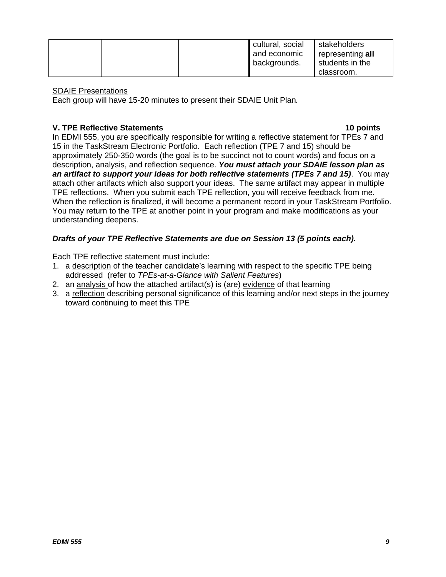|  | cultural, social | stakeholders     |
|--|------------------|------------------|
|  | and economic     | representing all |
|  | backgrounds.     | students in the  |
|  |                  | classroom.       |

#### SDAIE Presentations

Each group will have 15-20 minutes to present their SDAIE Unit Plan*.*

# **V. TPE Reflective Statements 10 points**

In EDMI 555, you are specifically responsible for writing a reflective statement for TPEs 7 and 15 in the TaskStream Electronic Portfolio. Each reflection (TPE 7 and 15) should be approximately 250-350 words (the goal is to be succinct not to count words) and focus on a description, analysis, and reflection sequence. *You must attach your SDAIE lesson plan as an artifact to support your ideas for both reflective statements (TPEs 7 and 15)*. You may attach other artifacts which also support your ideas. The same artifact may appear in multiple TPE reflections. When you submit each TPE reflection, you will receive feedback from me. When the reflection is finalized, it will become a permanent record in your TaskStream Portfolio. You may return to the TPE at another point in your program and make modifications as your understanding deepens.

# *Drafts of your TPE Reflective Statements are due on Session 13 (5 points each).*

Each TPE reflective statement must include:

- 1. a description of the teacher candidate's learning with respect to the specific TPE being addressed (refer to *TPEs-at-a-Glance with Salient Features*)
- 2. an analysis of how the attached artifact(s) is (are) evidence of that learning
- 3. a reflection describing personal significance of this learning and/or next steps in the journey toward continuing to meet this TPE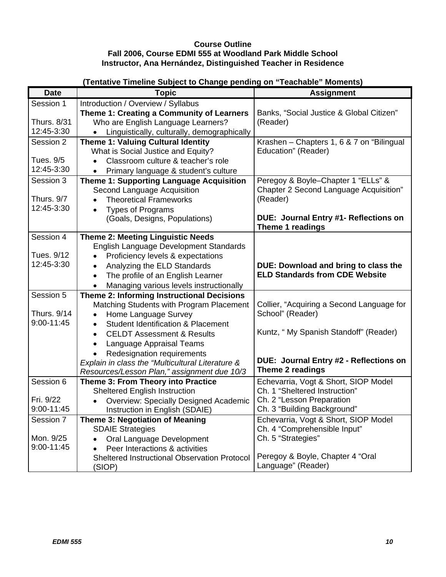## **Course Outline Fall 2006, Course EDMI 555 at Woodland Park Middle School Instructor, Ana Hernández, Distinguished Teacher in Residence**

| Banks, "Social Justice & Global Citizen"  |
|-------------------------------------------|
|                                           |
|                                           |
| Krashen - Chapters 1, 6 & 7 on "Bilingual |
|                                           |
|                                           |
|                                           |
| Peregoy & Boyle-Chapter 1 "ELLs" &        |
| Chapter 2 Second Language Acquisition"    |
|                                           |
|                                           |
| DUE: Journal Entry #1- Reflections on     |
|                                           |
|                                           |
|                                           |
| DUE: Download and bring to class the      |
| <b>ELD Standards from CDE Website</b>     |
|                                           |
|                                           |
| Collier, "Acquiring a Second Language for |
|                                           |
| Kuntz, "My Spanish Standoff" (Reader)     |
|                                           |
|                                           |
| DUE: Journal Entry #2 - Reflections on    |
|                                           |
| Echevarria, Vogt & Short, SIOP Model      |
|                                           |
|                                           |
|                                           |
| Echevarria, Vogt & Short, SIOP Model      |
|                                           |
|                                           |
|                                           |
|                                           |
|                                           |

# **(Tentative Timeline Subject to Change pending on "Teachable" Moments)**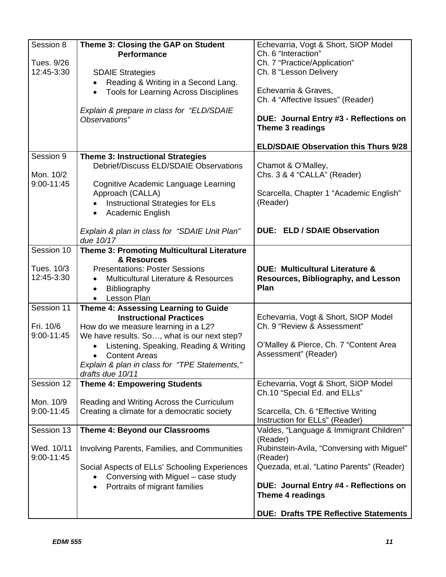| Session 8      | Theme 3: Closing the GAP on Student<br><b>Performance</b>  | Echevarria, Vogt & Short, SIOP Model<br>Ch. 6 "Interaction" |
|----------------|------------------------------------------------------------|-------------------------------------------------------------|
| Tues. 9/26     |                                                            | Ch. 7 "Practice/Application"                                |
| 12:45-3:30     | <b>SDAIE Strategies</b>                                    | Ch. 8 "Lesson Delivery                                      |
|                | Reading & Writing in a Second Lang.                        |                                                             |
|                | <b>Tools for Learning Across Disciplines</b><br>$\bullet$  | Echevarria & Graves,                                        |
|                |                                                            | Ch. 4 "Affective Issues" (Reader)                           |
|                | Explain & prepare in class for "ELD/SDAIE                  |                                                             |
|                | Observations"                                              | DUE: Journal Entry #3 - Reflections on                      |
|                |                                                            | Theme 3 readings                                            |
|                |                                                            | <b>ELD/SDAIE Observation this Thurs 9/28</b>                |
| Session 9      | <b>Theme 3: Instructional Strategies</b>                   |                                                             |
|                | Debrief/Discuss ELD/SDAIE Observations                     | Chamot & O'Malley,                                          |
| Mon. 10/2      |                                                            | Chs. 3 & 4 "CALLA" (Reader)                                 |
| $9:00 - 11:45$ | Cognitive Academic Language Learning                       |                                                             |
|                | Approach (CALLA)                                           | Scarcella, Chapter 1 "Academic English"                     |
|                | Instructional Strategies for ELs                           | (Reader)                                                    |
|                | Academic English<br>$\bullet$                              |                                                             |
|                |                                                            | <b>DUE: ELD / SDAIE Observation</b>                         |
|                | Explain & plan in class for "SDAIE Unit Plan"<br>due 10/17 |                                                             |
| Session 10     | <b>Theme 3: Promoting Multicultural Literature</b>         |                                                             |
|                | & Resources                                                |                                                             |
| Tues. 10/3     | <b>Presentations: Poster Sessions</b>                      | <b>DUE: Multicultural Literature &amp;</b>                  |
| 12:45-3:30     | Multicultural Literature & Resources                       | <b>Resources, Bibliography, and Lesson</b>                  |
|                | Bibliography<br>$\bullet$                                  | Plan                                                        |
|                | Lesson Plan                                                |                                                             |
| Session 11     | Theme 4: Assessing Learning to Guide                       |                                                             |
|                | <b>Instructional Practices</b>                             | Echevarria, Vogt & Short, SIOP Model                        |
| Fri. 10/6      | How do we measure learning in a L2?                        | Ch. 9 "Review & Assessment"                                 |
| 9:00-11:45     | We have results. So, what is our next step?                |                                                             |
|                | Listening, Speaking, Reading & Writing                     | O'Malley & Pierce, Ch. 7 "Content Area                      |
|                | <b>Content Areas</b>                                       | Assessment" (Reader)                                        |
|                | Explain & plan in class for "TPE Statements,"              |                                                             |
|                | drafts due 10/11                                           |                                                             |
| Session 12     | <b>Theme 4: Empowering Students</b>                        | Echevarria, Vogt & Short, SIOP Model                        |
|                |                                                            | Ch.10 "Special Ed. and ELLs"                                |
| Mon. 10/9      | Reading and Writing Across the Curriculum                  |                                                             |
| $9:00 - 11:45$ | Creating a climate for a democratic society                | Scarcella, Ch. 6 "Effective Writing                         |
| Session 13     |                                                            | Instruction for ELLs" (Reader)                              |
|                | Theme 4: Beyond our Classrooms                             | Valdes, "Language & Immigrant Children"<br>(Reader)         |
| Wed. 10/11     | Involving Parents, Families, and Communities               | Rubinstein-Avila, "Conversing with Miguel"                  |
| 9:00-11:45     |                                                            | (Reader)                                                    |
|                | Social Aspects of ELLs' Schooling Experiences              | Quezada, et.al, "Latino Parents" (Reader)                   |
|                | Conversing with Miguel - case study                        |                                                             |
|                | Portraits of migrant families<br>$\bullet$                 | DUE: Journal Entry #4 - Reflections on                      |
|                |                                                            | Theme 4 readings                                            |
|                |                                                            | <b>DUE: Drafts TPE Reflective Statements</b>                |
|                |                                                            |                                                             |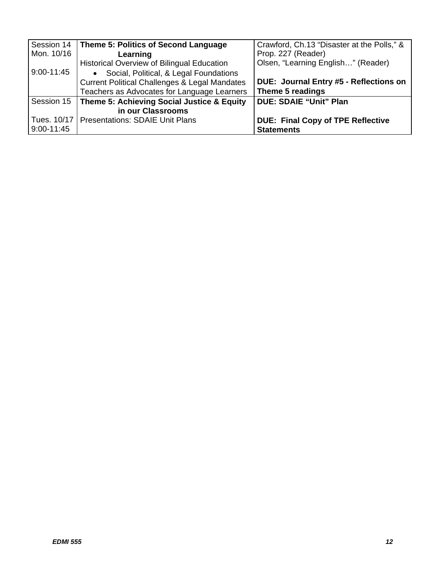| Session 14 | Theme 5: Politics of Second Language                     | Crawford, Ch.13 "Disaster at the Polls," & |
|------------|----------------------------------------------------------|--------------------------------------------|
| Mon. 10/16 | Learning                                                 | Prop. 227 (Reader)                         |
|            | <b>Historical Overview of Bilingual Education</b>        | Olsen, "Learning English" (Reader)         |
| 9:00-11:45 | • Social, Political, & Legal Foundations                 |                                            |
|            | <b>Current Political Challenges &amp; Legal Mandates</b> | DUE: Journal Entry #5 - Reflections on     |
|            | Teachers as Advocates for Language Learners              | Theme 5 readings                           |
| Session 15 | Theme 5: Achieving Social Justice & Equity               | <b>DUE: SDAIE "Unit" Plan</b>              |
|            | in our Classrooms                                        |                                            |
|            | Tues. 10/17   Presentations: SDAIE Unit Plans            | <b>DUE: Final Copy of TPE Reflective</b>   |
| 9:00-11:45 |                                                          | <b>Statements</b>                          |